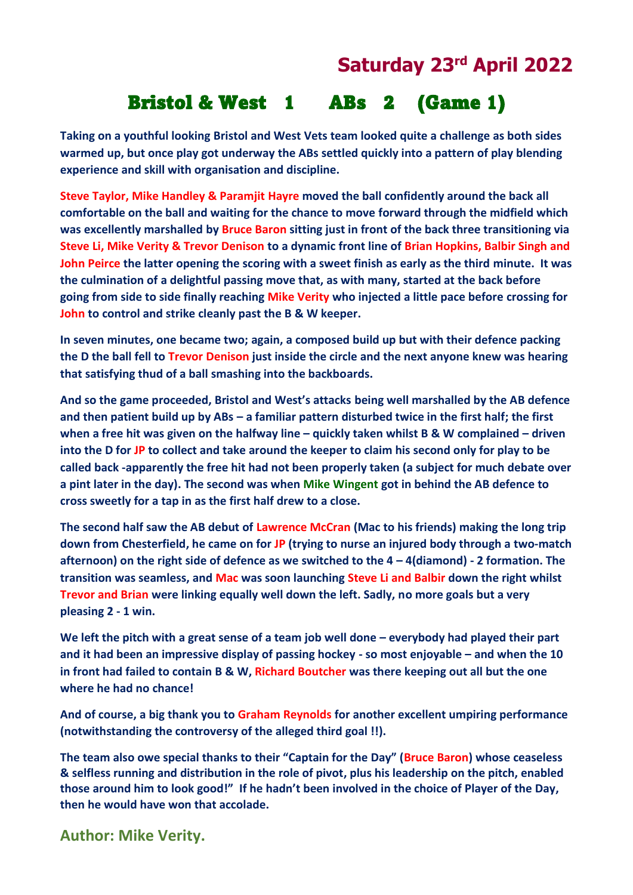## **Saturday 23rd April 2022**

## Bristol & West 1 ABs 2 (Game 1)

**Taking on a youthful looking Bristol and West Vets team looked quite a challenge as both sides warmed up, but once play got underway the ABs settled quickly into a pattern of play blending experience and skill with organisation and discipline.**

**Steve Taylor, Mike Handley & Paramjit Hayre moved the ball confidently around the back all comfortable on the ball and waiting for the chance to move forward through the midfield which was excellently marshalled by Bruce Baron sitting just in front of the back three transitioning via Steve Li, Mike Verity & Trevor Denison to a dynamic front line of Brian Hopkins, Balbir Singh and John Peirce the latter opening the scoring with a sweet finish as early as the third minute. It was the culmination of a delightful passing move that, as with many, started at the back before going from side to side finally reaching Mike Verity who injected a little pace before crossing for John to control and strike cleanly past the B & W keeper.**

**In seven minutes, one became two; again, a composed build up but with their defence packing the D the ball fell to Trevor Denison just inside the circle and the next anyone knew was hearing that satisfying thud of a ball smashing into the backboards.**

**And so the game proceeded, Bristol and West's attacks being well marshalled by the AB defence and then patient build up by ABs – a familiar pattern disturbed twice in the first half; the first when a free hit was given on the halfway line – quickly taken whilst B & W complained – driven into the D for JP to collect and take around the keeper to claim his second only for play to be called back -apparently the free hit had not been properly taken (a subject for much debate over a pint later in the day). The second was when Mike Wingent got in behind the AB defence to cross sweetly for a tap in as the first half drew to a close.**

**The second half saw the AB debut of Lawrence McCran (Mac to his friends) making the long trip down from Chesterfield, he came on for JP (trying to nurse an injured body through a two-match afternoon) on the right side of defence as we switched to the 4 – 4(diamond) - 2 formation. The transition was seamless, and Mac was soon launching Steve Li and Balbir down the right whilst Trevor and Brian were linking equally well down the left. Sadly, no more goals but a very pleasing 2 - 1 win.**

**We left the pitch with a great sense of a team job well done – everybody had played their part and it had been an impressive display of passing hockey - so most enjoyable – and when the 10 in front had failed to contain B & W, Richard Boutcher was there keeping out all but the one where he had no chance!**

**And of course, a big thank you to Graham Reynolds for another excellent umpiring performance (notwithstanding the controversy of the alleged third goal !!).**

**The team also owe special thanks to their "Captain for the Day" (Bruce Baron) whose ceaseless & selfless running and distribution in the role of pivot, plus his leadership on the pitch, enabled those around him to look good!" If he hadn't been involved in the choice of Player of the Day, then he would have won that accolade.**

**Author: Mike Verity.**